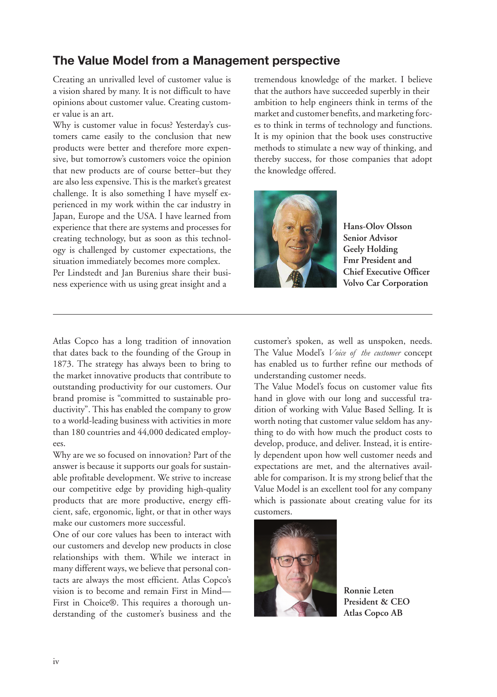## **The Value Model from a Management perspective**

Creating an unrivalled level of customer value is a vision shared by many. It is not difficult to have opinions about customer value. Creating customer value is an art.

Why is customer value in focus? Yesterday's customers came easily to the conclusion that new products were better and therefore more expensive, but tomorrow's customers voice the opinion that new products are of course better–but they are also less expensive. This is the market's greatest challenge. It is also something I have myself experienced in my work within the car industry in Japan, Europe and the USA. I have learned from experience that there are systems and processes for creating technology, but as soon as this technology is challenged by customer expectations, the situation immediately becomes more complex. Per Lindstedt and Jan Burenius share their business experience with us using great insight and a

tremendous knowledge of the market. I believe that the authors have succeeded superbly in their ambition to help engineers think in terms of the market and customer benefits, and marketing forces to think in terms of technology and functions. It is my opinion that the book uses constructive methods to stimulate a new way of thinking, and thereby success, for those companies that adopt the knowledge offered.



**Hans-Olov Olsson Senior Advisor Geely Holding Fmr President and Chief Executive Officer Volvo Car Corporation**

Atlas Copco has a long tradition of innovation that dates back to the founding of the Group in 1873. The strategy has always been to bring to the market innovative products that contribute to outstanding productivity for our customers. Our brand promise is "committed to sustainable productivity". This has enabled the company to grow to a world-leading business with activities in more than 180 countries and 44,000 dedicated employees.

Why are we so focused on innovation? Part of the answer is because it supports our goals for sustainable profitable development. We strive to increase our competitive edge by providing high-quality products that are more productive, energy efficient, safe, ergonomic, light, or that in other ways make our customers more successful.

One of our core values has been to interact with our customers and develop new products in close relationships with them. While we interact in many different ways, we believe that personal contacts are always the most efficient. Atlas Copco's vision is to become and remain First in Mind— First in Choice®. This requires a thorough understanding of the customer's business and the

customer's spoken, as well as unspoken, needs. The Value Model's *Voice of the customer* concept has enabled us to further refine our methods of understanding customer needs.

The Value Model's focus on customer value fits hand in glove with our long and successful tradition of working with Value Based Selling. It is worth noting that customer value seldom has anything to do with how much the product costs to develop, produce, and deliver. Instead, it is entirely dependent upon how well customer needs and expectations are met, and the alternatives available for comparison. It is my strong belief that the Value Model is an excellent tool for any company which is passionate about creating value for its customers.



**Ronnie Leten President & CEO Atlas Copco AB**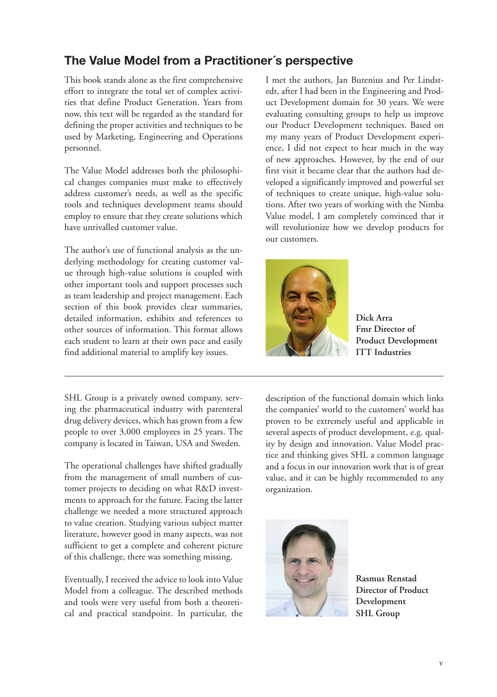## **The Value Model from a Practitioner´s perspective**

This book stands alone as the first comprehensive effort to integrate the total set of complex activities that define Product Generation. Years from now, this text will be regarded as the standard for defining the proper activities and techniques to be used by Marketing, Engineering and Operations personnel.

The Value Model addresses both the philosophical changes companies must make to effectively address customer's needs, as well as the specific tools and techniques development teams should employ to ensure that they create solutions which have unrivalled customer value.

The author's use of functional analysis as the underlying methodology for creating customer value through high-value solutions is coupled with other important tools and support processes such as team leadership and project management. Each section of this book provides clear summaries, detailed information, exhibits and references to other sources of information. This format allows each student to learn at their own pace and easily find additional material to amplify key issues.

SHL Group is a privately owned company, serving the pharmaceutical industry with parenteral drug delivery devices, which has grown from a few people to over 3,000 employees in 25 years. The company is located in Taiwan, USA and Sweden.

The operational challenges have shifted gradually from the management of small numbers of customer projects to deciding on what R&D investments to approach for the future. Facing the latter challenge we needed a more structured approach to value creation. Studying various subject matter literature, however good in many aspects, was not sufficient to get a complete and coherent picture of this challenge, there was something missing.

Eventually, I received the advice to look into Value Model from a colleague. The described methods and tools were very useful from both a theoretical and practical standpoint. In particular, the I met the authors, Jan Burenius and Per Lindstedt, after I had been in the Engineering and Product Development domain for 30 years. We were evaluating consulting groups to help us improve our Product Development techniques. Based on my many years of Product Development experience, I did not expect to hear much in the way of new approaches. However, by the end of our first visit it became clear that the authors had developed a significantly improved and powerful set of techniques to create unique, high-value solutions. After two years of working with the Nimba Value model, I am completely convinced that it will revolutionize how we develop products for our customers.



**Dick Arra Fmr Director of Product Development ITT Industries**

description of the functional domain which links the companies' world to the customers' world has proven to be extremely useful and applicable in several aspects of product development, e.g. quality by design and innovation. Value Model practice and thinking gives SHL a common language and a focus in our innovation work that is of great value, and it can be highly recommended to any organization.



**Rasmus Renstad Director of Product Development SHL Group**